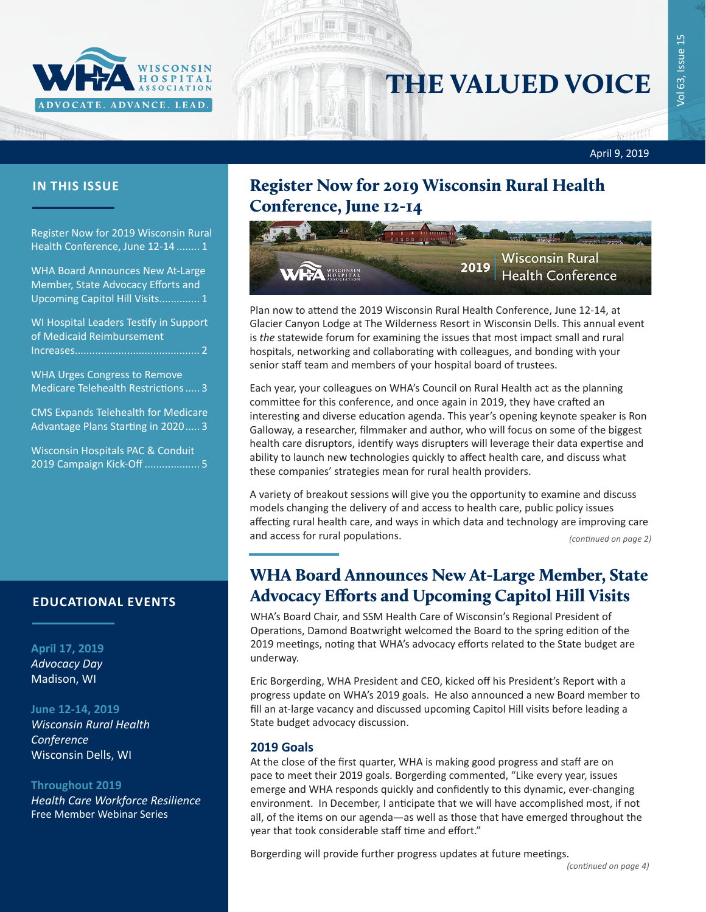

# THE VALUED VOICE

## न्तुसुर् April 9, 2019

Register Now for 2019 Wisconsin Rural Health Conference, June 12-14 ........ 1

WHA Board Announces New At-Large Member, State Advocacy Efforts and Upcoming Capitol Hill Visits.............. 1

[WI Hospital Leaders Testify in Support](#page-1-0)  [of Medicaid Reimbursement](#page-1-0)  [Increases...........................................](#page-1-0) 2

[WHA Urges Congress to Remove](#page-2-0)  [Medicare Telehealth Restrictions.....](#page-2-0) 3

[CMS Expands Telehealth for Medicare](#page-2-0)  [Advantage Plans Starting in 2020.....](#page-2-0) 3

[Wisconsin Hospitals PAC & Conduit](#page-4-0)  [2019 Campaign Kick-Off](#page-4-0) ................... 5

### **EDUCATIONAL EVENTS**

#### **April 17, 2019** *[Advocacy Day](http://www.whareg4.org/AdvocacyDay2019/)* Madison, WI

#### **June 12-14, 2019**

*[Wisconsin Rural Health](http://www.cvent.com/d/b6q37j)  [Conference](http://www.cvent.com/d/b6q37j)* Wisconsin Dells, WI

#### **Throughout 2019**

*[Health Care Workforce Resilience](http://www.whareg4.org/WorkforceResilience/)* Free Member Webinar Series

## **IN THIS ISSUE** Register Now for 2019 Wisconsin Rural Health Conference, June 12-14



Plan now to attend the 2019 Wisconsin Rural Health Conference, June 12-14, at Glacier Canyon Lodge at The Wilderness Resort in Wisconsin Dells. This annual event is *the* statewide forum for examining the issues that most impact small and rural hospitals, networking and collaborating with colleagues, and bonding with your senior staff team and members of your hospital board of trustees.

Each year, your colleagues on WHA's Council on Rural Health act as the planning committee for this conference, and once again in 2019, they have crafted an interesting and diverse education agenda. This year's opening keynote speaker is Ron Galloway, a researcher, filmmaker and author, who will focus on some of the biggest health care disruptors, identify ways disrupters will leverage their data expertise and ability to launch new technologies quickly to affect health care, and discuss what these companies' strategies mean for rural health providers.

A variety of breakout sessions will give you the opportunity to examine and discuss models changing the delivery of and access to health care, public policy issues affecting rural health care, and ways in which data and technology are improving care and access for rural populations. *(continued on page 2)*

## WHA Board Announces New At-Large Member, State Advocacy Efforts and Upcoming Capitol Hill Visits

WHA's Board Chair, and SSM Health Care of Wisconsin's Regional President of Operations, Damond Boatwright welcomed the Board to the spring edition of the 2019 meetings, noting that WHA's advocacy efforts related to the State budget are underway.

Eric Borgerding, WHA President and CEO, kicked off his President's Report with a progress update on WHA's 2019 goals. He also announced a new Board member to fill an at-large vacancy and discussed upcoming Capitol Hill visits before leading a State budget advocacy discussion.

#### **2019 Goals**

At the close of the first quarter, WHA is making good progress and staff are on pace to meet their 2019 goals. Borgerding commented, "Like every year, issues emerge and WHA responds quickly and confidently to this dynamic, ever-changing environment. In December, I anticipate that we will have accomplished most, if not all, of the items on our agenda—as well as those that have emerged throughout the year that took considerable staff time and effort."

Borgerding will provide further progress updates at future meetings.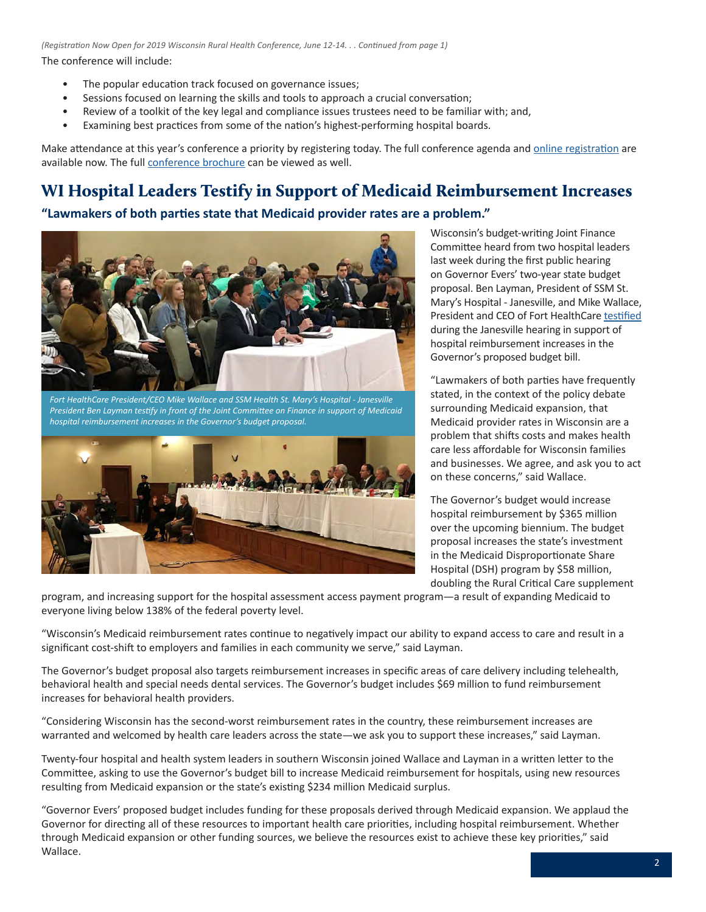<span id="page-1-0"></span>The conference will include: *(Registration Now Open for 2019 Wisconsin Rural Health Conference, June 12-14. . . Continued from page 1)*

- The popular education track focused on governance issues;
- Sessions focused on learning the skills and tools to approach a crucial conversation;
- Review of a toolkit of the key legal and compliance issues trustees need to be familiar with; and,
- Examining best practices from some of the nation's highest-performing hospital boards.

Make attendance at this year's conference a priority by registering today. The full conference agenda and [online registration](http://www.cvent.com/d/b6q37j) are available now. The full [conference brochure](https://www.wha.org/WisconsinHospitalAssociation/media/WHACommon/Education/2019RuralHealthConf_web.pdf) can be viewed as well.

## WI Hospital Leaders Testify in Support of Medicaid Reimbursement Increases

#### **"Lawmakers of both parties state that Medicaid provider rates are a problem."**



*Fort HealthCare President/CEO Mike Wallace and SSM Health St. Mary's Hospital - Janesville President Ben Layman testify in front of the Joint Committee on Finance in support of Medicaid hospital reimbursement increases in the Governor's budget proposal.*



Wisconsin's budget-writing Joint Finance Committee heard from two hospital leaders last week during the first public hearing on Governor Evers' two-year state budget proposal. Ben Layman, President of SSM St. Mary's Hospital - Janesville, and Mike Wallace, President and CEO of Fort HealthCare [testified](https://wiseye.org/2019/04/05/joint-committee-on-finance-budget-2019-public-hearing/?startStreamAt=10850&stopStreamAt=11063) during the Janesville hearing in support of hospital reimbursement increases in the Governor's proposed budget bill.

"Lawmakers of both parties have frequently stated, in the context of the policy debate surrounding Medicaid expansion, that Medicaid provider rates in Wisconsin are a problem that shifts costs and makes health care less affordable for Wisconsin families and businesses. We agree, and ask you to act on these concerns," said Wallace.

The Governor's budget would increase hospital reimbursement by \$365 million over the upcoming biennium. The budget proposal increases the state's investment in the Medicaid Disproportionate Share Hospital (DSH) program by \$58 million, doubling the Rural Critical Care supplement

program, and increasing support for the hospital assessment access payment program—a result of expanding Medicaid to everyone living below 138% of the federal poverty level.

"Wisconsin's Medicaid reimbursement rates continue to negatively impact our ability to expand access to care and result in a significant cost-shift to employers and families in each community we serve," said Layman.

The Governor's budget proposal also targets reimbursement increases in specific areas of care delivery including telehealth, behavioral health and special needs dental services. The Governor's budget includes \$69 million to fund reimbursement increases for behavioral health providers.

"Considering Wisconsin has the second-worst reimbursement rates in the country, these reimbursement increases are warranted and welcomed by health care leaders across the state—we ask you to support these increases," said Layman.

Twenty-four hospital and health system leaders in southern Wisconsin joined Wallace and Layman in a written letter to the Committee, asking to use the Governor's budget bill to increase Medicaid reimbursement for hospitals, using new resources resulting from Medicaid expansion or the state's existing \$234 million Medicaid surplus.

"Governor Evers' proposed budget includes funding for these proposals derived through Medicaid expansion. We applaud the Governor for directing all of these resources to important health care priorities, including hospital reimbursement. Whether through Medicaid expansion or other funding sources, we believe the resources exist to achieve these key priorities," said Wallace.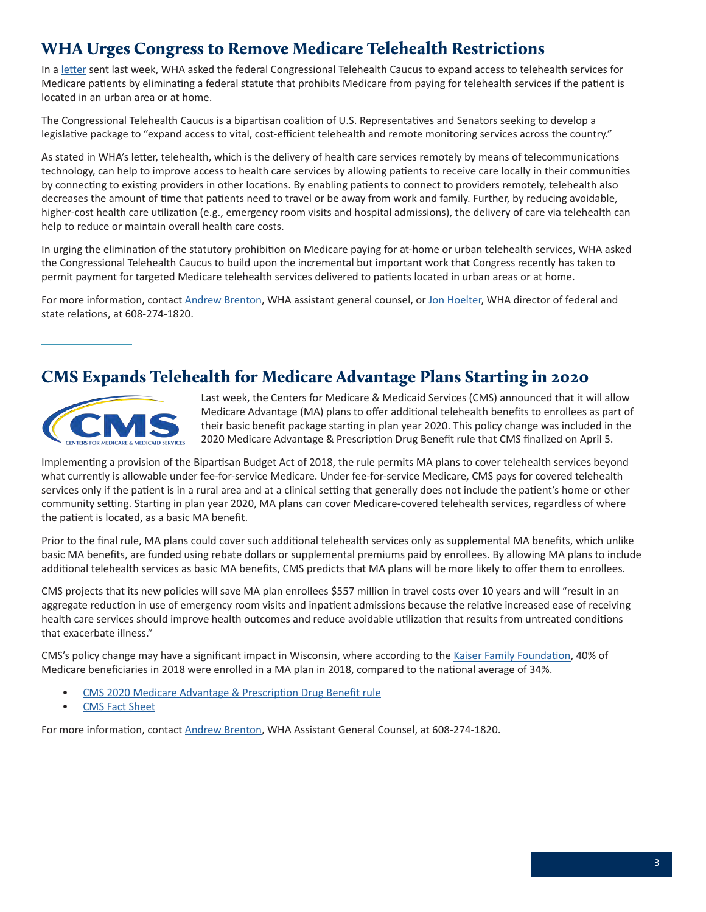## <span id="page-2-0"></span>WHA Urges Congress to Remove Medicare Telehealth Restrictions

In a [letter](https://www.wha.org/WisconsinHospitalAssociation/media/WHACommon/CommentLetters/2019WHA-Recommendations-Congressional-Telehealth-Caucus-RFI-4-1.pdf) sent last week, WHA asked the federal Congressional Telehealth Caucus to expand access to telehealth services for Medicare patients by eliminating a federal statute that prohibits Medicare from paying for telehealth services if the patient is located in an urban area or at home.

The Congressional Telehealth Caucus is a bipartisan coalition of U.S. Representatives and Senators seeking to develop a legislative package to "expand access to vital, cost-efficient telehealth and remote monitoring services across the country."

As stated in WHA's letter, telehealth, which is the delivery of health care services remotely by means of telecommunications technology, can help to improve access to health care services by allowing patients to receive care locally in their communities by connecting to existing providers in other locations. By enabling patients to connect to providers remotely, telehealth also decreases the amount of time that patients need to travel or be away from work and family. Further, by reducing avoidable, higher-cost health care utilization (e.g., emergency room visits and hospital admissions), the delivery of care via telehealth can help to reduce or maintain overall health care costs.

In urging the elimination of the statutory prohibition on Medicare paying for at-home or urban telehealth services, WHA asked the Congressional Telehealth Caucus to build upon the incremental but important work that Congress recently has taken to permit payment for targeted Medicare telehealth services delivered to patients located in urban areas or at home.

For more information, contact [Andrew Brenton](mailto:abrenton@wha.org), WHA assistant general counsel, or [Jon Hoelter](mailto:jhoelter@wha.org), WHA director of federal and state relations, at 608-274-1820.

## CMS Expands Telehealth for Medicare Advantage Plans Starting in 2020



Last week, the Centers for Medicare & Medicaid Services (CMS) announced that it will allow Medicare Advantage (MA) plans to offer additional telehealth benefits to enrollees as part of their basic benefit package starting in plan year 2020. This policy change was included in the 2020 Medicare Advantage & Prescription Drug Benefit rule that CMS finalized on April 5.

Implementing a provision of the Bipartisan Budget Act of 2018, the rule permits MA plans to cover telehealth services beyond what currently is allowable under fee-for-service Medicare. Under fee-for-service Medicare, CMS pays for covered telehealth services only if the patient is in a rural area and at a clinical setting that generally does not include the patient's home or other community setting. Starting in plan year 2020, MA plans can cover Medicare-covered telehealth services, regardless of where the patient is located, as a basic MA benefit.

Prior to the final rule, MA plans could cover such additional telehealth services only as supplemental MA benefits, which unlike basic MA benefits, are funded using rebate dollars or supplemental premiums paid by enrollees. By allowing MA plans to include additional telehealth services as basic MA benefits, CMS predicts that MA plans will be more likely to offer them to enrollees.

CMS projects that its new policies will save MA plan enrollees \$557 million in travel costs over 10 years and will "result in an aggregate reduction in use of emergency room visits and inpatient admissions because the relative increased ease of receiving health care services should improve health outcomes and reduce avoidable utilization that results from untreated conditions that exacerbate illness."

CMS's policy change may have a significant impact in Wisconsin, where according to the [Kaiser Family Foundation](https://www.kff.org/medicare/issue-brief/a-dozen-facts-about-medicare-advantage/), 40% of Medicare beneficiaries in 2018 were enrolled in a MA plan in 2018, compared to the national average of 34%.

- [CMS 2020 Medicare Advantage & Prescription Drug Benefit rule](https://s3.amazonaws.com/public-inspection.federalregister.gov/2019-06822.pdf)
- [CMS Fact Sheet](https://www.cms.gov/newsroom/fact-sheets/contract-year-2020-medicare-advantage-and-part-d-flexibility-final-rule-cms-4185-f)

For more information, contact [Andrew Brenton](mailto:abrenton@wha.org), WHA Assistant General Counsel, at 608-274-1820.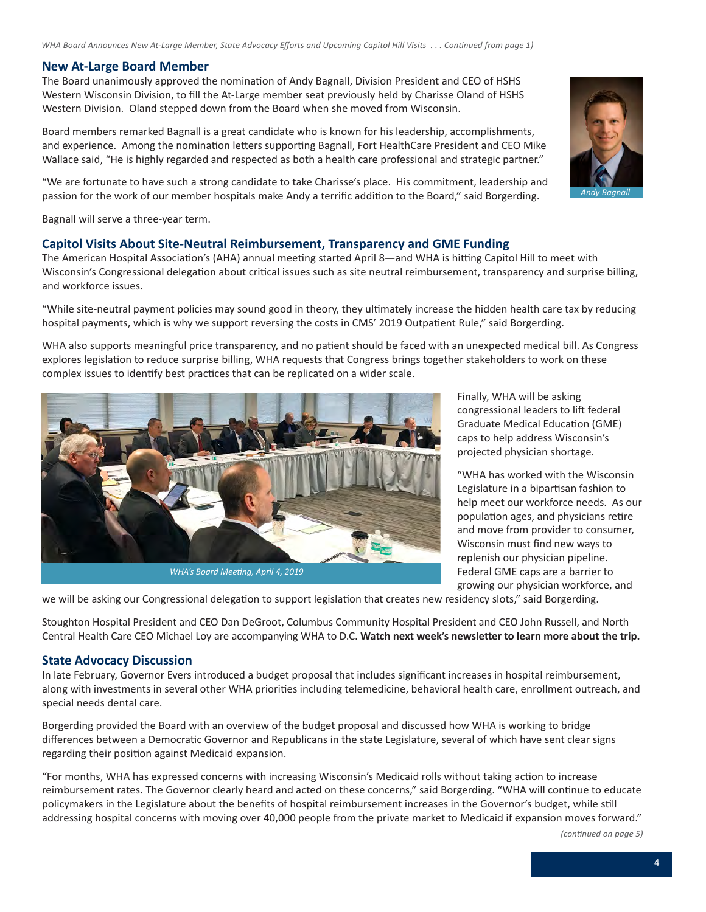#### **New At-Large Board Member**

The Board unanimously approved the nomination of Andy Bagnall, Division President and CEO of HSHS Western Wisconsin Division, to fill the At-Large member seat previously held by Charisse Oland of HSHS Western Division. Oland stepped down from the Board when she moved from Wisconsin.

Board members remarked Bagnall is a great candidate who is known for his leadership, accomplishments, and experience. Among the nomination letters supporting Bagnall, Fort HealthCare President and CEO Mike Wallace said, "He is highly regarded and respected as both a health care professional and strategic partner."

"We are fortunate to have such a strong candidate to take Charisse's place. His commitment, leadership and passion for the work of our member hospitals make Andy a terrific addition to the Board," said Borgerding.

Bagnall will serve a three-year term.

#### **Capitol Visits About Site-Neutral Reimbursement, Transparency and GME Funding**

The American Hospital Association's (AHA) annual meeting started April 8—and WHA is hitting Capitol Hill to meet with Wisconsin's Congressional delegation about critical issues such as site neutral reimbursement, transparency and surprise billing, and workforce issues.

"While site-neutral payment policies may sound good in theory, they ultimately increase the hidden health care tax by reducing hospital payments, which is why we support reversing the costs in CMS' 2019 Outpatient Rule," said Borgerding.

WHA also supports meaningful price transparency, and no patient should be faced with an unexpected medical bill. As Congress explores legislation to reduce surprise billing, WHA requests that Congress brings together stakeholders to work on these complex issues to identify best practices that can be replicated on a wider scale.



Finally, WHA will be asking congressional leaders to lift federal Graduate Medical Education (GME) caps to help address Wisconsin's projected physician shortage.

"WHA has worked with the Wisconsin Legislature in a bipartisan fashion to help meet our workforce needs. As our population ages, and physicians retire and move from provider to consumer, Wisconsin must find new ways to replenish our physician pipeline. Federal GME caps are a barrier to growing our physician workforce, and

we will be asking our Congressional delegation to support legislation that creates new residency slots," said Borgerding.

Stoughton Hospital President and CEO Dan DeGroot, Columbus Community Hospital President and CEO John Russell, and North Central Health Care CEO Michael Loy are accompanying WHA to D.C. **Watch next week's newsletter to learn more about the trip.**

#### **State Advocacy Discussion**

In late February, Governor Evers introduced a budget proposal that includes significant increases in hospital reimbursement, along with investments in several other WHA priorities including telemedicine, behavioral health care, enrollment outreach, and special needs dental care.

Borgerding provided the Board with an overview of the budget proposal and discussed how WHA is working to bridge differences between a Democratic Governor and Republicans in the state Legislature, several of which have sent clear signs regarding their position against Medicaid expansion.

"For months, WHA has expressed concerns with increasing Wisconsin's Medicaid rolls without taking action to increase reimbursement rates. The Governor clearly heard and acted on these concerns," said Borgerding. "WHA will continue to educate policymakers in the Legislature about the benefits of hospital reimbursement increases in the Governor's budget, while still addressing hospital concerns with moving over 40,000 people from the private market to Medicaid if expansion moves forward."

*(continued on page 5)*